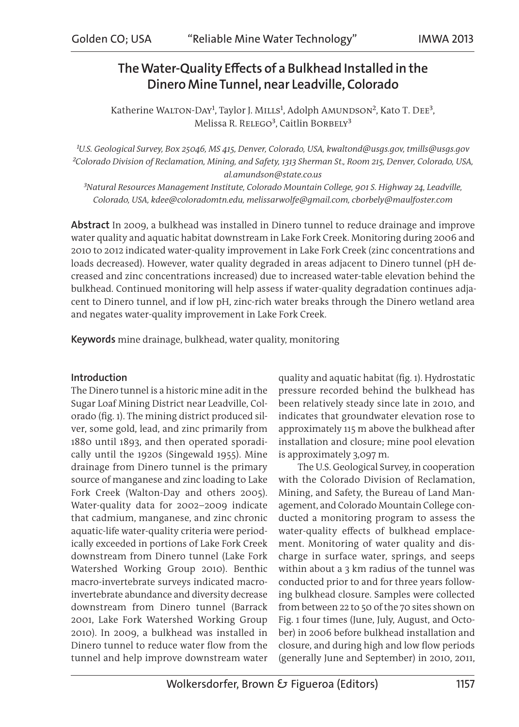# The Water-Quality Effects of a Bulkhead Installed in the Dinero Mine Tunnel, near Leadville, Colorado

Katherine WALTON-DAY<sup>1</sup>, Taylor J. MILLS<sup>1</sup>, Adolph AMUNDSON<sup>2</sup>, Kato T. DEE<sup>3</sup>, Melissa R. RELEGO<sup>3</sup>, Caitlin BORBELY<sup>3</sup>

*¹U.S. Geological Survey, Box 25046, MS 415, Denver, Colorado, USA, kwaltond@usgs.gov, tmills@usgs.gov ²Colorado Division of Reclamation, Mining, and Safety, 1313 Sherman St., Room 215, Denver, Colorado, USA, al.amundson@state.co.us*

*³Natural Resources Management Institute, Colorado Mountain College, 901 S. Highway 24, Leadville, Colorado, USA, kdee@coloradomtn.edu, melissarwolfe@gmail.com, cborbely@maulfoster.com*

Abstract In 2009, a bulkhead was installed in Dinero tunnel to reduce drainage and improve water quality and aquatic habitat downstream in Lake Fork Creek. Monitoring during 2006 and 2010 to 2012 indicated water-quality improvement in Lake Fork Creek (zinc concentrations and loads decreased). However, water quality degraded in areas adjacent to Dinero tunnel (pH decreased and zinc concentrations increased) due to increased water-table elevation behind the bulkhead. Continued monitoring will help assess if water-quality degradation continues adjacent to Dinero tunnel, and if low pH, zinc-rich water breaks through the Dinero wetland area and negates water-quality improvement in Lake Fork Creek.

Keywords mine drainage, bulkhead, water quality, monitoring

## Introduction

The Dinero tunnel is a historic mine adit in the Sugar Loaf Mining District near Leadville, Colorado (fig. 1). The mining district produced silver, some gold, lead, and zinc primarily from 1880 until 1893, and then operated sporadically until the 1920s (Singewald 1955). Mine drainage from Dinero tunnel is the primary source of manganese and zinc loading to Lake Fork Creek (Walton-Day and others 2005). Water-quality data for 2002–2009 indicate that cadmium, manganese, and zinc chronic aquatic-life water-quality criteria were periodically exceeded in portions of Lake Fork Creek downstream from Dinero tunnel (Lake Fork Watershed Working Group 2010). Benthic macro-invertebrate surveys indicated macroinvertebrate abundance and diversity decrease downstream from Dinero tunnel (Barrack 2001, Lake Fork Watershed Working Group 2010). In 2009, a bulkhead was installed in Dinero tunnel to reduce water flow from the tunnel and help improve downstream water

quality and aquatic habitat (fig. 1). Hydrostatic pressure recorded behind the bulkhead has been relatively steady since late in 2010, and indicates that groundwater elevation rose to approximately 115 m above the bulkhead after installation and closure; mine pool elevation is approximately 3,097 m.

The U.S. Geological Survey, in cooperation with the Colorado Division of Reclamation, Mining, and Safety, the Bureau of Land Management, and Colorado Mountain College conducted a monitoring program to assess the water-quality effects of bulkhead emplacement. Monitoring of water quality and discharge in surface water, springs, and seeps within about a 3 km radius of the tunnel was conducted prior to and for three years following bulkhead closure. Samples were collected from between 22 to 50 of the 70 sites shown on Fig. 1 four times (June, July, August, and October) in 2006 before bulkhead installation and closure, and during high and low flow periods (generally June and September) in 2010, 2011,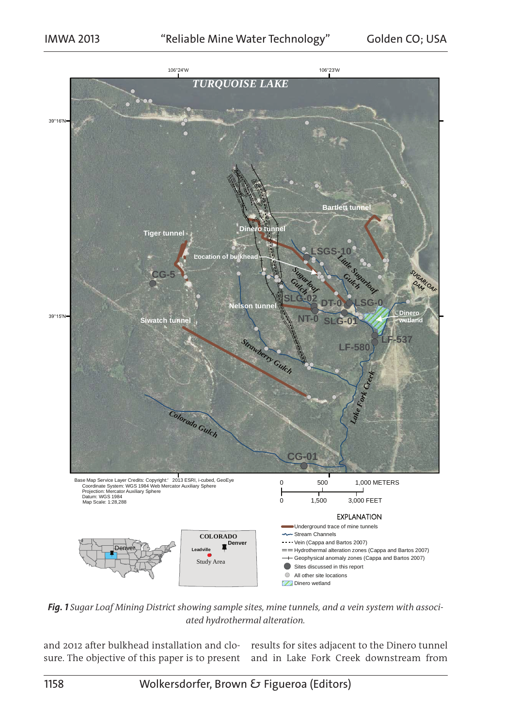

*Fig. 1 Sugar Loaf Mining District showing sample sites, mine tunnels, and a vein system with associated hydrothermal alteration.*

and 2012 after bulkhead installation and clo-results for sites adjacent to the Dinero tunnel sure. The objective of this paper is to present and in Lake Fork Creek downstream from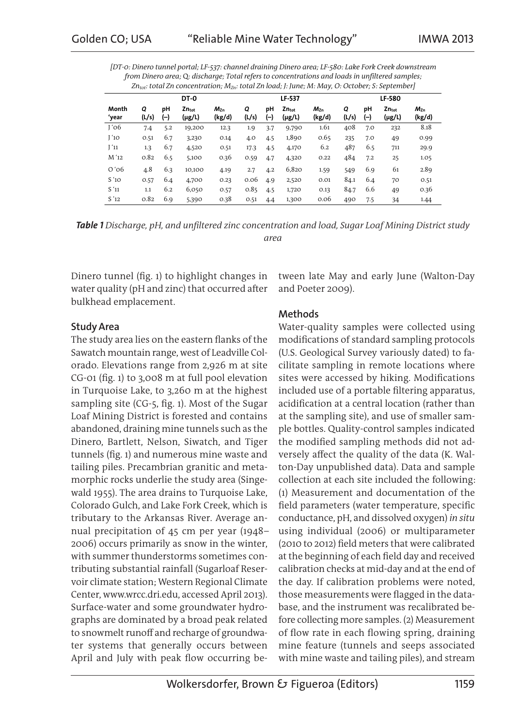| [DT-0: Dinero tunnel portal; LF-537: channel draining Dinero area; LF-580: Lake Fork Creek downstream     |
|-----------------------------------------------------------------------------------------------------------|
| from Dinero area; Q: discharge; Total refers to concentrations and loads in unfiltered samples;           |
| $Zn_{tot}$ : total Zn concentration; $M_{Zn}$ : total Zn load; J: June; M: May, O: October; S: September] |

|                      |            | DT-0      |                          |                        |            | LF-537    |                                  |                        |            | LF-580      |                          |                        |  |
|----------------------|------------|-----------|--------------------------|------------------------|------------|-----------|----------------------------------|------------------------|------------|-------------|--------------------------|------------------------|--|
| Month<br>ʻyear       | Q<br>(L/s) | pН<br>(–) | $Zn_{\rm tot}$<br>(µg/L) | $M_{\rm Zn}$<br>(kg/d) | Q<br>(L/s) | рH<br>(–) | Zn <sub>tot</sub><br>$(\mu g/L)$ | $M_{\rm Zn}$<br>(kg/d) | Q<br>(L/s) | рH<br>$(-)$ | $Zn_{\rm tot}$<br>(µg/L) | $M_{\rm Zn}$<br>(kg/d) |  |
| 1'06                 | 7.4        | 5.2       | 19,200                   | 12.3                   | 1.9        | 3.7       | 9,790                            | 1.61                   | 408        | 7.0         | 232                      | 8.18                   |  |
| J'10                 | 0.51       | 6.7       | 3,230                    | 0.14                   | 4.0        | 4.5       | 1,890                            | 0.65                   | 235        | 7.0         | 49                       | 0.99                   |  |
| $\left[\right]$ $11$ | 1.3        | 6.7       | 4,520                    | 0.51                   | 17.3       | 4.5       | 4,170                            | 6.2                    | 487        | 6.5         | 711                      | 29.9                   |  |
| M '12                | 0.82       | 6.5       | 5,100                    | 0.36                   | 0.59       | 4.7       | 4,320                            | 0.22                   | 484        | 7.2         | 25                       | 1.05                   |  |
| $O'$ 06              | 4.8        | 6.3       | 10,100                   | 4.19                   | 2.7        | 4.2       | 6,820                            | 1.59                   | 549        | 6.9         | 61                       | 2.89                   |  |
| S'1O                 | 0.57       | 6.4       | 4,700                    | 0.23                   | 0.06       | 4.9       | 2,520                            | 0.01                   | 84.1       | 6.4         | 70                       | 0.51                   |  |
| S'11                 | 1.1        | 6.2       | 6,050                    | 0.57                   | 0.85       | 4.5       | 1,720                            | 0.13                   | 84.7       | 6.6         | 49                       | 0.36                   |  |
| S'12                 | 0.82       | 6.9       | 5,390                    | 0.38                   | 0.51       | 4.4       | 1,300                            | 0.06                   | 490        | 7.5         | 34                       | 1.44                   |  |
|                      |            |           |                          |                        |            |           |                                  |                        |            |             |                          |                        |  |

*Table 1 Discharge, pH, and unfiltered zinc concentration and load, Sugar Loaf Mining District study*

*area*

Dinero tunnel (fig. 1) to highlight changes in water quality (pH and zinc) that occurred after bulkhead emplacement.

# Study Area

The study area lies on the eastern flanks of the Sawatch mountain range, west of Leadville Colorado. Elevations range from 2,926 m at site CG-01 (fig. 1) to 3,008 m at full pool elevation in Turquoise Lake, to 3,260 m at the highest sampling site (CG-5, fig. 1). Most of the Sugar Loaf Mining District is forested and contains abandoned, draining mine tunnels such as the Dinero, Bartlett, Nelson, Siwatch, and Tiger tunnels (fig. 1) and numerous mine waste and tailing piles. Precambrian granitic and metamorphic rocks underlie the study area (Singewald 1955). The area drains to Turquoise Lake, Colorado Gulch, and Lake Fork Creek, which is tributary to the Arkansas River. Average annual precipitation of 45 cm per year (1948– 2006) occurs primarily as snow in the winter, with summer thunderstorms sometimes contributing substantial rainfall (Sugarloaf Reservoir climate station; Western Regional Climate Center, www.wrcc.dri.edu, accessed April 2013). Surface-water and some groundwater hydrographs are dominated by a broad peak related to snowmelt runoff and recharge of groundwater systems that generally occurs between April and July with peak flow occurring between late May and early June (Walton-Day and Poeter 2009).

# Methods

Water-quality samples were collected using modifications of standard sampling protocols (U.S. Geological Survey variously dated) to facilitate sampling in remote locations where sites were accessed by hiking. Modifications included use of a portable filtering apparatus, acidification at a central location (rather than at the sampling site), and use of smaller sample bottles. Quality-control samples indicated the modified sampling methods did not adversely affect the quality of the data (K. Walton-Day unpublished data). Data and sample collection at each site included the following: (1) Measurement and documentation of the field parameters (water temperature, specific conductance, pH, and dissolved oxygen) *in situ* using individual (2006) or multiparameter (2010 to 2012) field meters that were calibrated at the beginning of each field day and received calibration checks at mid-day and at the end of the day. If calibration problems were noted, those measurements were flagged in the database, and the instrument was recalibrated before collecting more samples. (2) Measurement of flow rate in each flowing spring, draining mine feature (tunnels and seeps associated with mine waste and tailing piles), and stream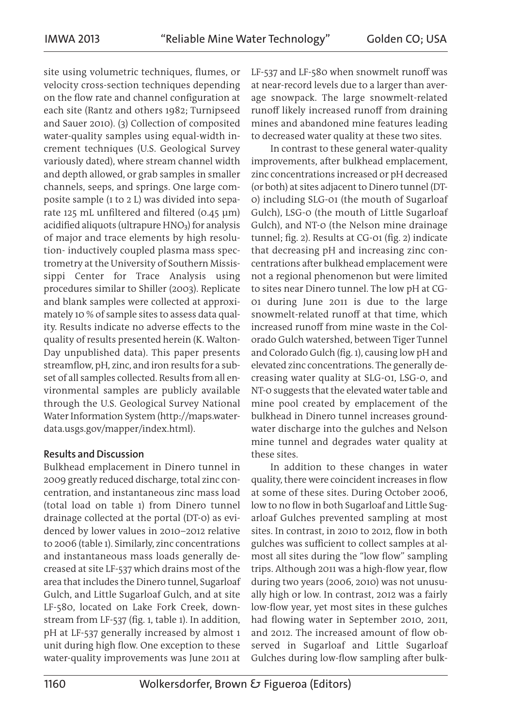site using volumetric techniques, flumes, or velocity cross-section techniques depending on the flow rate and channel configuration at each site (Rantz and others 1982; Turnipseed and Sauer 2010). (3) Collection of composited water-quality samples using equal-width increment techniques (U.S. Geological Survey variously dated), where stream channel width and depth allowed, or grab samples in smaller channels, seeps, and springs. One large composite sample (1 to 2 L) was divided into separate 125 mL unfiltered and filtered (0.45 µm) acidified aliquots (ultrapure HNO<sub>3</sub>) for analysis of major and trace elements by high resolution- inductively coupled plasma mass spectrometry at the University of Southern Mississippi Center for Trace Analysis using procedures similar to Shiller (2003). Replicate and blank samples were collected at approximately 10 % of sample sites to assess data quality. Results indicate no adverse effects to the quality of results presented herein (K. Walton-Day unpublished data). This paper presents streamflow, pH, zinc, and iron results for a subset of all samples collected. Results from all environmental samples are publicly available through the U.S. Geological Survey National Water Information System (http://maps.waterdata.usgs.gov/mapper/index.html).

## Results and Discussion

Bulkhead emplacement in Dinero tunnel in 2009 greatly reduced discharge, total zinc concentration, and instantaneous zinc mass load (total load on table 1) from Dinero tunnel drainage collected at the portal (DT-0) as evidenced by lower values in 2010–2012 relative to 2006 (table 1). Similarly, zinc concentrations and instantaneous mass loads generally decreased at site LF-537 which drains most of the area that includes the Dinero tunnel, Sugarloaf Gulch, and Little Sugarloaf Gulch, and at site LF-580, located on Lake Fork Creek, downstream from LF-537 (fig. 1, table 1). In addition, pH at LF-537 generally increased by almost 1 unit during high flow. One exception to these water-quality improvements was June 2011 at

LF-537 and LF-580 when snowmelt runoff was at near-record levels due to a larger than average snowpack. The large snowmelt-related runoff likely increased runoff from draining mines and abandoned mine features leading to decreased water quality at these two sites.

In contrast to these general water-quality improvements, after bulkhead emplacement, zinc concentrations increased or pH decreased (or both) at sites adjacent to Dinero tunnel (DT-0) including SLG-01 (the mouth of Sugarloaf Gulch), LSG-0 (the mouth of Little Sugarloaf Gulch), and NT-0 (the Nelson mine drainage tunnel; fig. 2). Results at CG-01 (fig. 2) indicate that decreasing pH and increasing zinc concentrations after bulkhead emplacement were not a regional phenomenon but were limited to sites near Dinero tunnel. The low pH at CG-01 during June 2011 is due to the large snowmelt-related runoff at that time, which increased runoff from mine waste in the Colorado Gulch watershed, between Tiger Tunnel and Colorado Gulch (fig. 1), causing low pH and elevated zinc concentrations. The generally decreasing water quality at SLG-01, LSG-0, and NT-0 suggests that the elevated water table and mine pool created by emplacement of the bulkhead in Dinero tunnel increases groundwater discharge into the gulches and Nelson mine tunnel and degrades water quality at these sites.

In addition to these changes in water quality, there were coincident increases in flow at some of these sites. During October 2006, low to no flow in both Sugarloaf and Little Sugarloaf Gulches prevented sampling at most sites. In contrast, in 2010 to 2012, flow in both gulches was sufficient to collect samples at almost all sites during the "low flow" sampling trips. Although 2011 was a high-flow year, flow during two years (2006, 2010) was not unusually high or low. In contrast, 2012 was a fairly low-flow year, yet most sites in these gulches had flowing water in September 2010, 2011, and 2012. The increased amount of flow observed in Sugarloaf and Little Sugarloaf Gulches during low-flow sampling after bulk-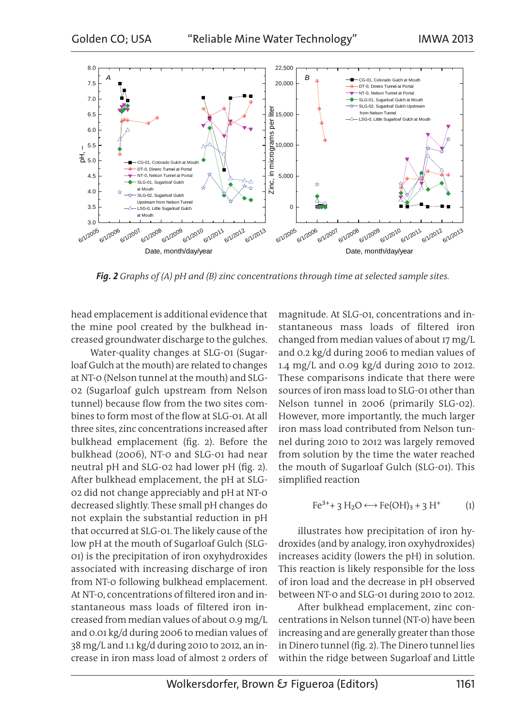

*Fig. 2 Graphs of (A) pH and (B) zinc concentrations through time at selected sample sites.*

head emplacement is additional evidence that the mine pool created by the bulkhead increased groundwater discharge to the gulches.

Water-quality changes at SLG-01 (Sugarloaf Gulch at the mouth) are related to changes at NT-0 (Nelson tunnel at the mouth) and SLG-02 (Sugarloaf gulch upstream from Nelson tunnel) because flow from the two sites combines to form most of the flow at SLG-01. At all three sites, zinc concentrations increased after bulkhead emplacement (fig. 2). Before the bulkhead (2006), NT-0 and SLG-01 had near neutral pH and SLG-02 had lower pH (fig. 2). After bulkhead emplacement, the pH at SLG-02 did not change appreciably and pH at NT-0 decreased slightly. These small pH changes do not explain the substantial reduction in pH that occurred at SLG-01. The likely cause of the low pH at the mouth of Sugarloaf Gulch (SLG-01) is the precipitation of iron oxyhydroxides associated with increasing discharge of iron from NT-0 following bulkhead emplacement. At NT-0, concentrations of filtered iron and instantaneous mass loads of filtered iron increased from median values of about 0.9 mg/L and 0.01 kg/d during 2006 to median values of 38 mg/L and 1.1 kg/d during 2010 to 2012, an increase in iron mass load of almost 2 orders of magnitude. At SLG-01, concentrations and instantaneous mass loads of filtered iron changed from median values of about 17 mg/L and 0.2 kg/d during 2006 to median values of 1.4 mg/L and 0.09 kg/d during 2010 to 2012. These comparisons indicate that there were sources of iron mass load to SLG-01 other than Nelson tunnel in 2006 (primarily SLG-02). However, more importantly, the much larger iron mass load contributed from Nelson tunnel during 2010 to 2012 was largely removed from solution by the time the water reached the mouth of Sugarloaf Gulch (SLG-01). This simplified reaction

$$
Fe^{3+} + 3 H_2O \longleftrightarrow Fe(OH)_3 + 3 H^+ \tag{1}
$$

illustrates how precipitation of iron hydroxides (and by analogy, iron oxyhydroxides) increases acidity (lowers the pH) in solution. This reaction is likely responsible for the loss of iron load and the decrease in pH observed between NT-0 and SLG-01 during 2010 to 2012.

After bulkhead emplacement, zinc concentrations in Nelson tunnel (NT-0) have been increasing and are generally greater than those in Dinero tunnel (fig. 2). The Dinero tunnel lies within the ridge between Sugarloaf and Little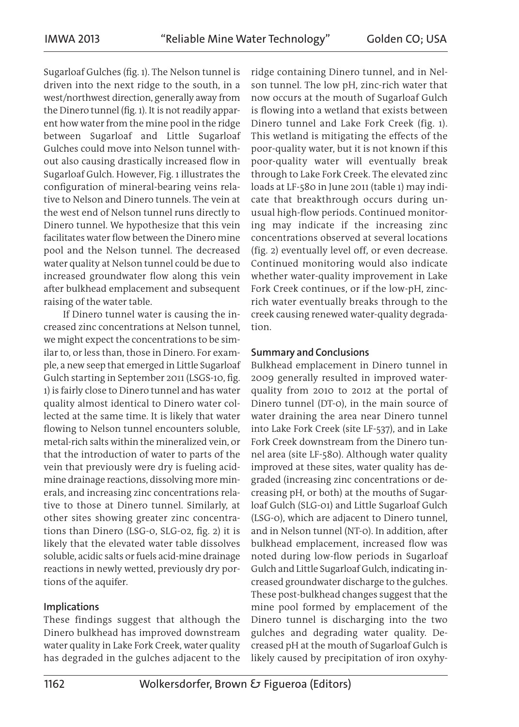Sugarloaf Gulches (fig. 1). The Nelson tunnel is driven into the next ridge to the south, in a west/northwest direction, generally away from the Dinero tunnel (fig. 1). It is not readily apparent how water from the mine pool in the ridge between Sugarloaf and Little Sugarloaf Gulches could move into Nelson tunnel without also causing drastically increased flow in Sugarloaf Gulch. However, Fig. 1 illustrates the configuration of mineral-bearing veins relative to Nelson and Dinero tunnels. The vein at the west end of Nelson tunnel runs directly to Dinero tunnel. We hypothesize that this vein facilitates water flow between the Dinero mine pool and the Nelson tunnel. The decreased water quality at Nelson tunnel could be due to increased groundwater flow along this vein after bulkhead emplacement and subsequent raising of the water table.

If Dinero tunnel water is causing the increased zinc concentrations at Nelson tunnel, we might expect the concentrations to be similar to, or less than, those in Dinero. For example, a new seep that emerged in Little Sugarloaf Gulch starting in September 2011 (LSGS-10, fig. 1) is fairly close to Dinero tunnel and has water quality almost identical to Dinero water collected at the same time. It is likely that water flowing to Nelson tunnel encounters soluble, metal-rich salts within the mineralized vein, or that the introduction of water to parts of the vein that previously were dry is fueling acidmine drainage reactions, dissolving more minerals, and increasing zinc concentrations relative to those at Dinero tunnel. Similarly, at other sites showing greater zinc concentrations than Dinero (LSG-0, SLG-02, fig. 2) it is likely that the elevated water table dissolves soluble, acidic salts or fuels acid-mine drainage reactions in newly wetted, previously dry portions of the aquifer.

## Implications

These findings suggest that although the Dinero bulkhead has improved downstream water quality in Lake Fork Creek, water quality has degraded in the gulches adjacent to the

ridge containing Dinero tunnel, and in Nelson tunnel. The low pH, zinc-rich water that now occurs at the mouth of Sugarloaf Gulch is flowing into a wetland that exists between Dinero tunnel and Lake Fork Creek (fig. 1). This wetland is mitigating the effects of the poor-quality water, but it is not known if this poor-quality water will eventually break through to Lake Fork Creek. The elevated zinc loads at LF-580 in June 2011 (table 1) may indicate that breakthrough occurs during unusual high-flow periods. Continued monitoring may indicate if the increasing zinc concentrations observed at several locations (fig. 2) eventually level off, or even decrease. Continued monitoring would also indicate whether water-quality improvement in Lake Fork Creek continues, or if the low-pH, zincrich water eventually breaks through to the creek causing renewed water-quality degradation.

#### Summary and Conclusions

Bulkhead emplacement in Dinero tunnel in 2009 generally resulted in improved waterquality from 2010 to 2012 at the portal of Dinero tunnel (DT-0), in the main source of water draining the area near Dinero tunnel into Lake Fork Creek (site LF-537), and in Lake Fork Creek downstream from the Dinero tunnel area (site LF-580). Although water quality improved at these sites, water quality has degraded (increasing zinc concentrations or decreasing pH, or both) at the mouths of Sugarloaf Gulch (SLG-01) and Little Sugarloaf Gulch (LSG-0), which are adjacent to Dinero tunnel, and in Nelson tunnel (NT-0). In addition, after bulkhead emplacement, increased flow was noted during low-flow periods in Sugarloaf Gulch and Little Sugarloaf Gulch, indicating increased groundwater discharge to the gulches. These post-bulkhead changes suggest that the mine pool formed by emplacement of the Dinero tunnel is discharging into the two gulches and degrading water quality. Decreased pH at the mouth of Sugarloaf Gulch is likely caused by precipitation of iron oxyhy